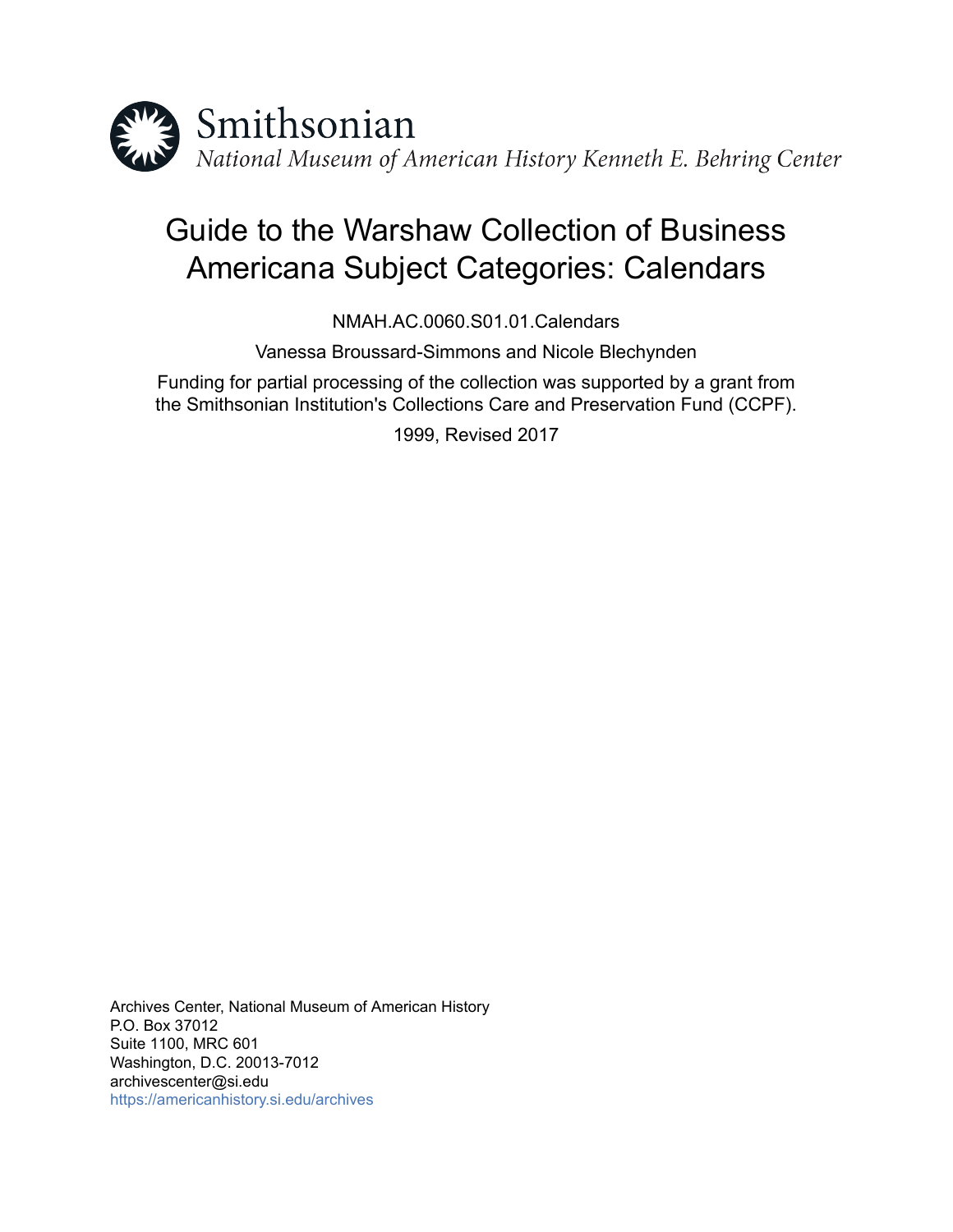

# Guide to the Warshaw Collection of Business Americana Subject Categories: Calendars

NMAH.AC.0060.S01.01.Calendars

Vanessa Broussard-Simmons and Nicole Blechynden

Funding for partial processing of the collection was supported by a grant from the Smithsonian Institution's Collections Care and Preservation Fund (CCPF).

1999, Revised 2017

Archives Center, National Museum of American History P.O. Box 37012 Suite 1100, MRC 601 Washington, D.C. 20013-7012 archivescenter@si.edu <https://americanhistory.si.edu/archives>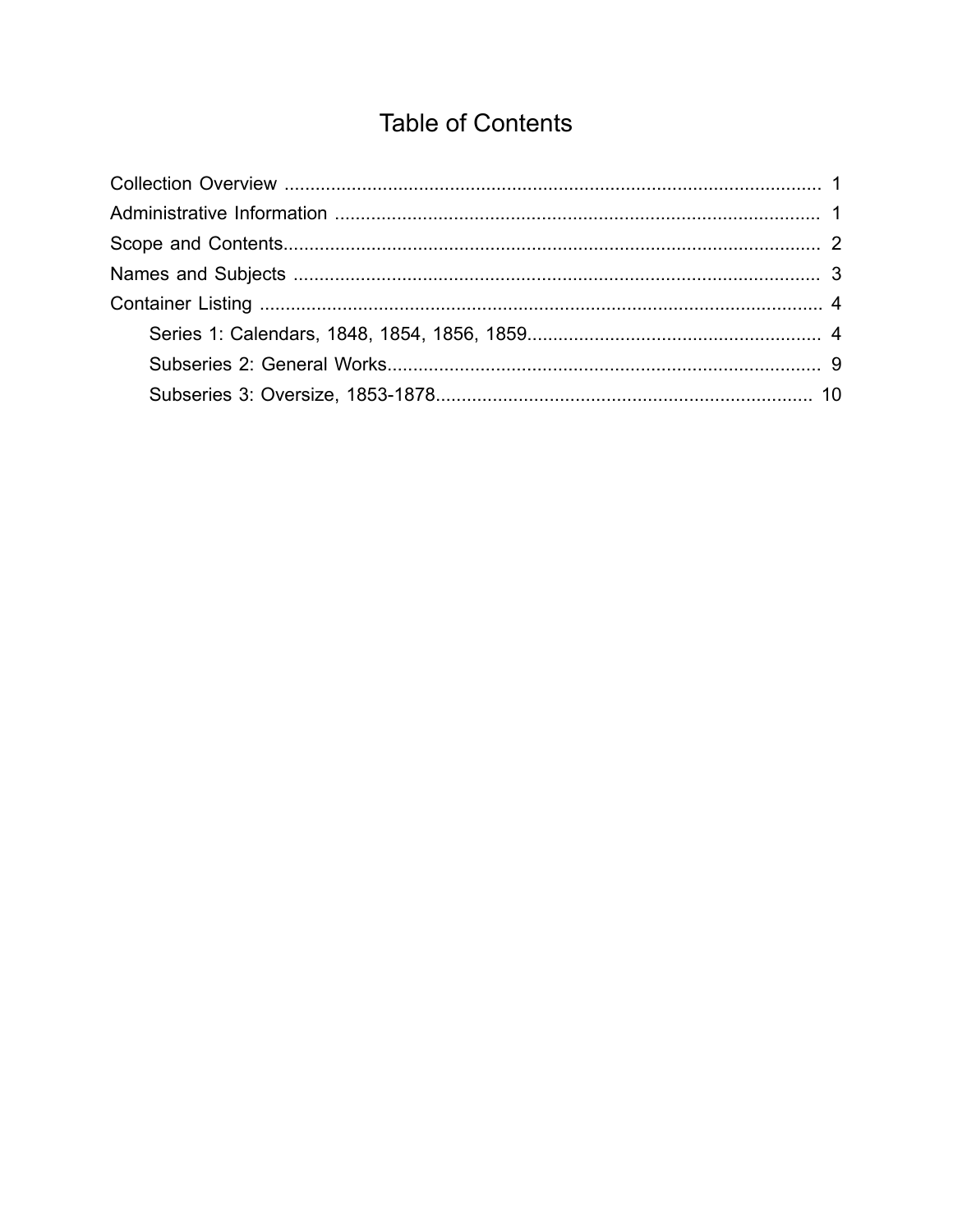## **Table of Contents**

<span id="page-1-0"></span>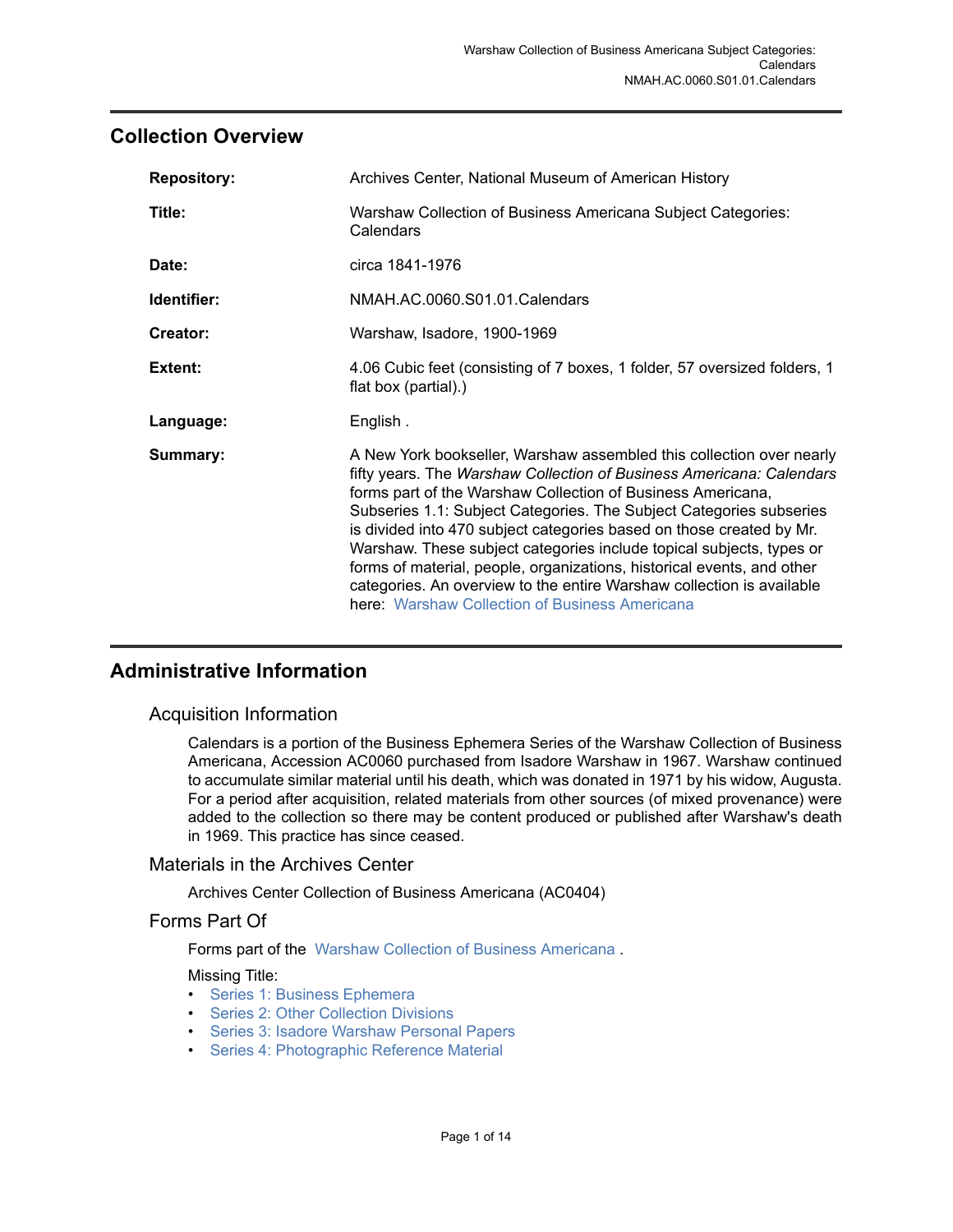## <span id="page-2-0"></span>**Collection Overview**

| <b>Repository:</b> | Archives Center, National Museum of American History                                                                                                                                                                                                                                                                                                                                                                                                                                                                                                                                                                                    |  |
|--------------------|-----------------------------------------------------------------------------------------------------------------------------------------------------------------------------------------------------------------------------------------------------------------------------------------------------------------------------------------------------------------------------------------------------------------------------------------------------------------------------------------------------------------------------------------------------------------------------------------------------------------------------------------|--|
| Title:             | Warshaw Collection of Business Americana Subject Categories:<br>Calendars                                                                                                                                                                                                                                                                                                                                                                                                                                                                                                                                                               |  |
| Date:              | circa 1841-1976                                                                                                                                                                                                                                                                                                                                                                                                                                                                                                                                                                                                                         |  |
| Identifier:        | NMAH.AC.0060.S01.01.Calendars                                                                                                                                                                                                                                                                                                                                                                                                                                                                                                                                                                                                           |  |
| Creator:           | Warshaw, Isadore, 1900-1969                                                                                                                                                                                                                                                                                                                                                                                                                                                                                                                                                                                                             |  |
| Extent:            | 4.06 Cubic feet (consisting of 7 boxes, 1 folder, 57 oversized folders, 1<br>flat box (partial).)                                                                                                                                                                                                                                                                                                                                                                                                                                                                                                                                       |  |
| Language:          | English.                                                                                                                                                                                                                                                                                                                                                                                                                                                                                                                                                                                                                                |  |
| Summary:           | A New York bookseller, Warshaw assembled this collection over nearly<br>fifty years. The Warshaw Collection of Business Americana: Calendars<br>forms part of the Warshaw Collection of Business Americana,<br>Subseries 1.1: Subject Categories. The Subject Categories subseries<br>is divided into 470 subject categories based on those created by Mr.<br>Warshaw. These subject categories include topical subjects, types or<br>forms of material, people, organizations, historical events, and other<br>categories. An overview to the entire Warshaw collection is available<br>here: Warshaw Collection of Business Americana |  |

## <span id="page-2-1"></span>**Administrative Information**

#### Acquisition Information

Calendars is a portion of the Business Ephemera Series of the Warshaw Collection of Business Americana, Accession AC0060 purchased from Isadore Warshaw in 1967. Warshaw continued to accumulate similar material until his death, which was donated in 1971 by his widow, Augusta. For a period after acquisition, related materials from other sources (of mixed provenance) were added to the collection so there may be content produced or published after Warshaw's death in 1969. This practice has since ceased.

#### Materials in the Archives Center

Archives Center Collection of Business Americana (AC0404)

#### Forms Part Of

Forms part of the Warshaw Collection of Business [Americana](http://sova.si.edu/record/NMAH.AC.0060) .

Missing Title:

- [Series 1: Business Ephemera](http://sova.si.edu/record/NMAH.AC.0060.S01)
- [Series 2: Other Collection Divisions](http://sova.si.edu/record/NMAH.AC.0060.S02)
- Series 3: Isadore [Warshaw](http://sova.si.edu/record/NMAH.AC.0060.S03) Personal Papers
- [Series 4: Photographic Reference Material](http://sova.si.edu/record/NMAH.AC.0060.S04)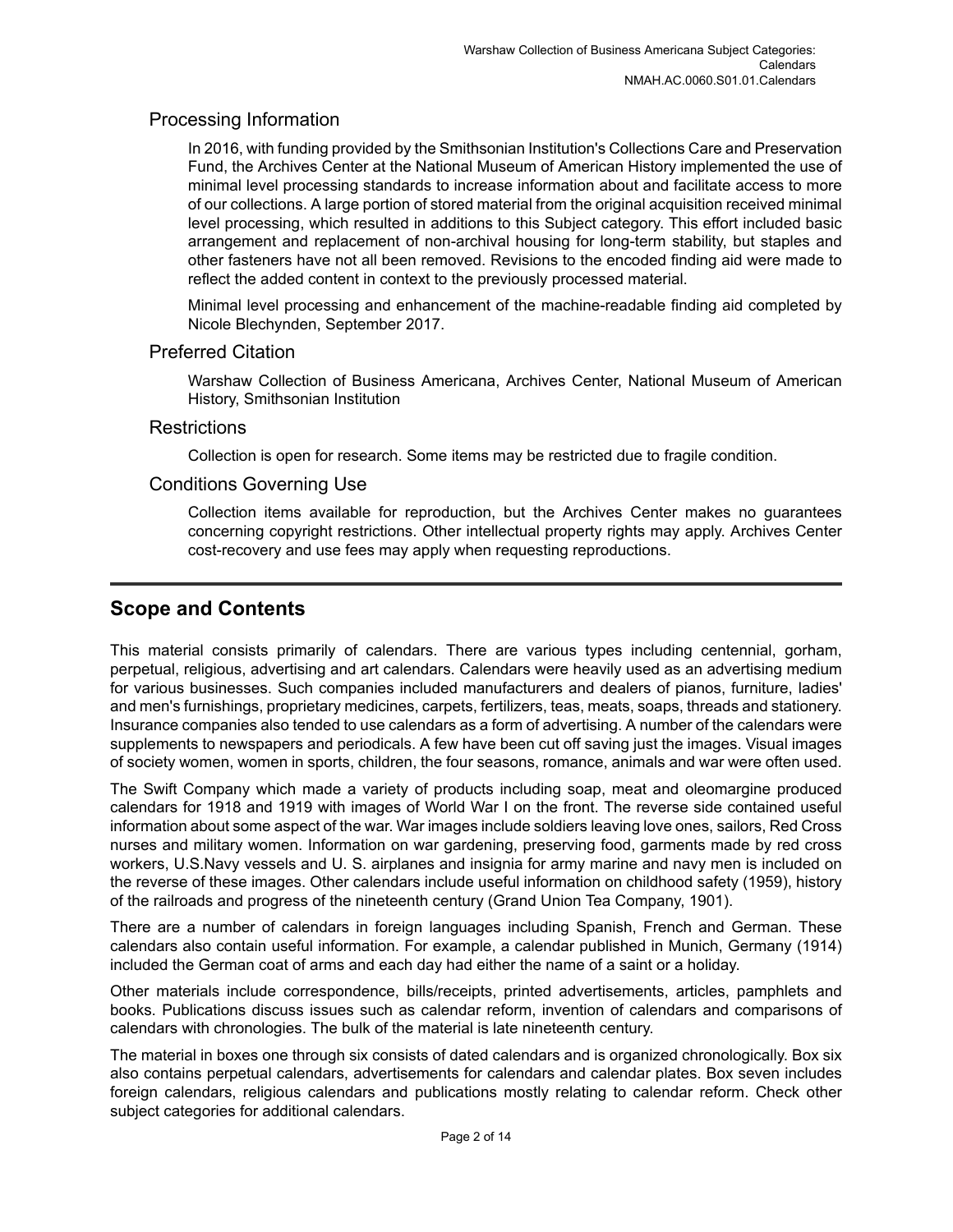### Processing Information

In 2016, with funding provided by the Smithsonian Institution's Collections Care and Preservation Fund, the Archives Center at the National Museum of American History implemented the use of minimal level processing standards to increase information about and facilitate access to more of our collections. A large portion of stored material from the original acquisition received minimal level processing, which resulted in additions to this Subject category. This effort included basic arrangement and replacement of non-archival housing for long-term stability, but staples and other fasteners have not all been removed. Revisions to the encoded finding aid were made to reflect the added content in context to the previously processed material.

Minimal level processing and enhancement of the machine-readable finding aid completed by Nicole Blechynden, September 2017.

#### Preferred Citation

Warshaw Collection of Business Americana, Archives Center, National Museum of American History, Smithsonian Institution

#### **Restrictions**

Collection is open for research. Some items may be restricted due to fragile condition.

#### Conditions Governing Use

Collection items available for reproduction, but the Archives Center makes no guarantees concerning copyright restrictions. Other intellectual property rights may apply. Archives Center cost-recovery and use fees may apply when requesting reproductions.

## <span id="page-3-0"></span>**Scope and Contents**

This material consists primarily of calendars. There are various types including centennial, gorham, perpetual, religious, advertising and art calendars. Calendars were heavily used as an advertising medium for various businesses. Such companies included manufacturers and dealers of pianos, furniture, ladies' and men's furnishings, proprietary medicines, carpets, fertilizers, teas, meats, soaps, threads and stationery. Insurance companies also tended to use calendars as a form of advertising. A number of the calendars were supplements to newspapers and periodicals. A few have been cut off saving just the images. Visual images of society women, women in sports, children, the four seasons, romance, animals and war were often used.

The Swift Company which made a variety of products including soap, meat and oleomargine produced calendars for 1918 and 1919 with images of World War I on the front. The reverse side contained useful information about some aspect of the war. War images include soldiers leaving love ones, sailors, Red Cross nurses and military women. Information on war gardening, preserving food, garments made by red cross workers, U.S.Navy vessels and U. S. airplanes and insignia for army marine and navy men is included on the reverse of these images. Other calendars include useful information on childhood safety (1959), history of the railroads and progress of the nineteenth century (Grand Union Tea Company, 1901).

There are a number of calendars in foreign languages including Spanish, French and German. These calendars also contain useful information. For example, a calendar published in Munich, Germany (1914) included the German coat of arms and each day had either the name of a saint or a holiday.

Other materials include correspondence, bills/receipts, printed advertisements, articles, pamphlets and books. Publications discuss issues such as calendar reform, invention of calendars and comparisons of calendars with chronologies. The bulk of the material is late nineteenth century.

The material in boxes one through six consists of dated calendars and is organized chronologically. Box six also contains perpetual calendars, advertisements for calendars and calendar plates. Box seven includes foreign calendars, religious calendars and publications mostly relating to calendar reform. Check other subject categories for additional calendars.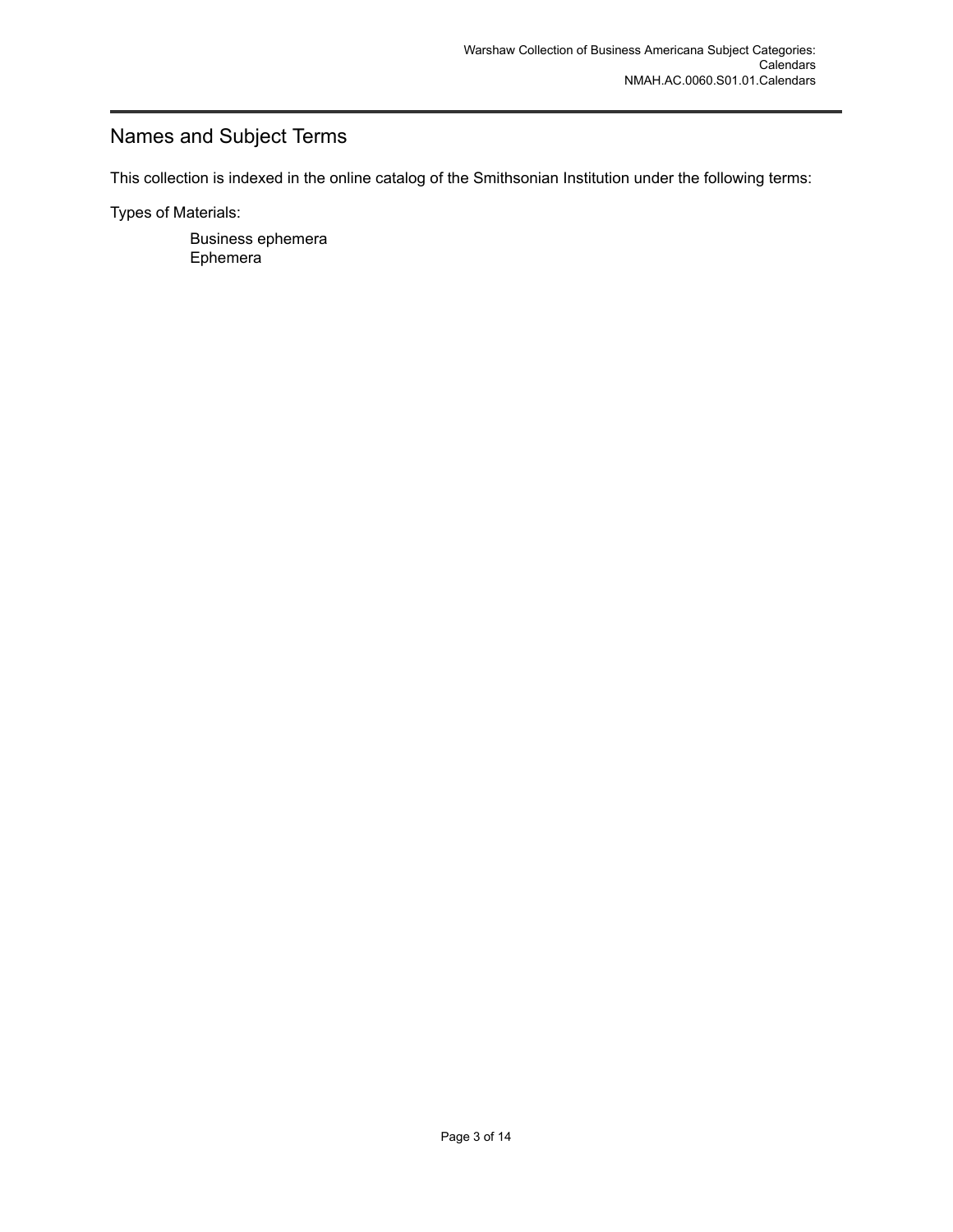## <span id="page-4-0"></span>Names and Subject Terms

This collection is indexed in the online catalog of the Smithsonian Institution under the following terms:

Types of Materials:

Business ephemera Ephemera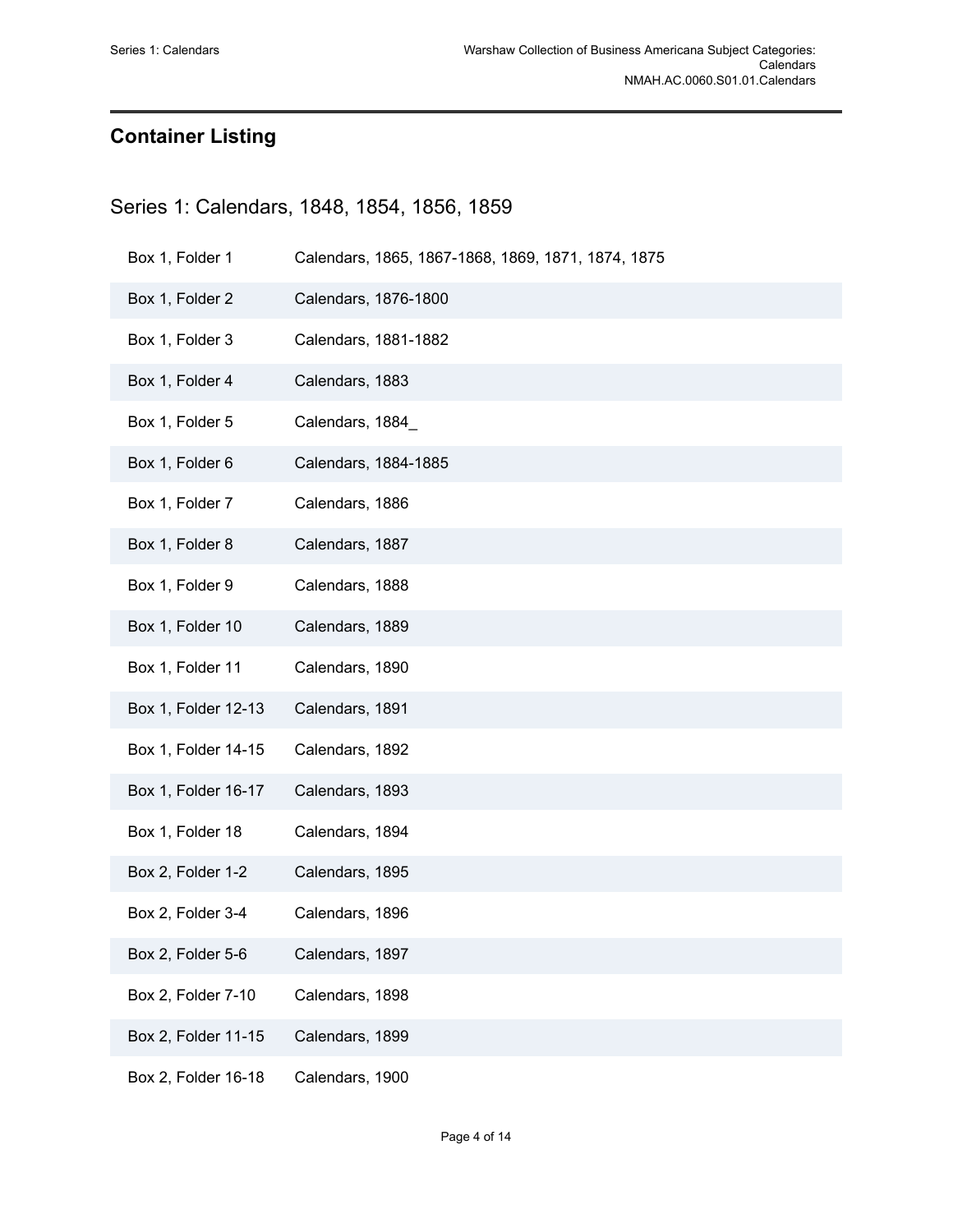## <span id="page-5-0"></span>**Container Listing**

## <span id="page-5-1"></span>Series 1: Calendars, 1848, 1854, 1856, 1859

| Box 1, Folder 1     | Calendars, 1865, 1867-1868, 1869, 1871, 1874, 1875 |
|---------------------|----------------------------------------------------|
| Box 1, Folder 2     | Calendars, 1876-1800                               |
| Box 1, Folder 3     | Calendars, 1881-1882                               |
| Box 1, Folder 4     | Calendars, 1883                                    |
| Box 1, Folder 5     | Calendars, 1884_                                   |
| Box 1, Folder 6     | Calendars, 1884-1885                               |
| Box 1, Folder 7     | Calendars, 1886                                    |
| Box 1, Folder 8     | Calendars, 1887                                    |
| Box 1, Folder 9     | Calendars, 1888                                    |
| Box 1, Folder 10    | Calendars, 1889                                    |
| Box 1, Folder 11    | Calendars, 1890                                    |
| Box 1, Folder 12-13 | Calendars, 1891                                    |
| Box 1, Folder 14-15 | Calendars, 1892                                    |
| Box 1, Folder 16-17 | Calendars, 1893                                    |
| Box 1, Folder 18    | Calendars, 1894                                    |
| Box 2, Folder 1-2   | Calendars, 1895                                    |
| Box 2, Folder 3-4   | Calendars, 1896                                    |
| Box 2, Folder 5-6   | Calendars, 1897                                    |
| Box 2, Folder 7-10  | Calendars, 1898                                    |
| Box 2, Folder 11-15 | Calendars, 1899                                    |
| Box 2, Folder 16-18 | Calendars, 1900                                    |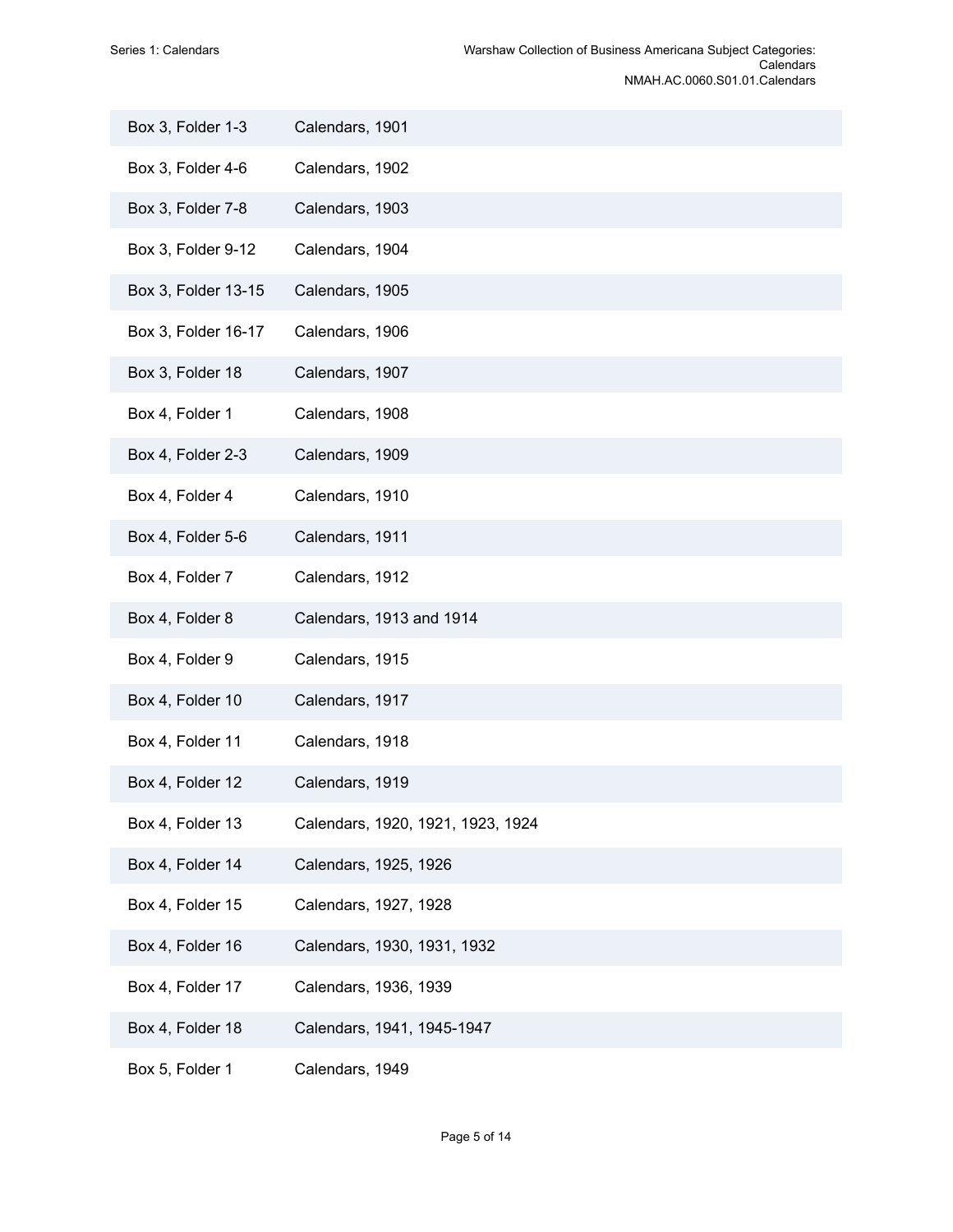| Box 3, Folder 1-3   | Calendars, 1901                   |
|---------------------|-----------------------------------|
| Box 3, Folder 4-6   | Calendars, 1902                   |
| Box 3, Folder 7-8   | Calendars, 1903                   |
| Box 3, Folder 9-12  | Calendars, 1904                   |
| Box 3, Folder 13-15 | Calendars, 1905                   |
| Box 3, Folder 16-17 | Calendars, 1906                   |
| Box 3, Folder 18    | Calendars, 1907                   |
| Box 4, Folder 1     | Calendars, 1908                   |
| Box 4, Folder 2-3   | Calendars, 1909                   |
| Box 4, Folder 4     | Calendars, 1910                   |
| Box 4, Folder 5-6   | Calendars, 1911                   |
| Box 4, Folder 7     | Calendars, 1912                   |
| Box 4, Folder 8     | Calendars, 1913 and 1914          |
| Box 4, Folder 9     | Calendars, 1915                   |
| Box 4, Folder 10    | Calendars, 1917                   |
| Box 4, Folder 11    | Calendars, 1918                   |
| Box 4, Folder 12    | Calendars, 1919                   |
| Box 4, Folder 13    | Calendars, 1920, 1921, 1923, 1924 |
| Box 4, Folder 14    | Calendars, 1925, 1926             |
| Box 4, Folder 15    | Calendars, 1927, 1928             |
| Box 4, Folder 16    | Calendars, 1930, 1931, 1932       |
| Box 4, Folder 17    | Calendars, 1936, 1939             |
| Box 4, Folder 18    | Calendars, 1941, 1945-1947        |
| Box 5, Folder 1     | Calendars, 1949                   |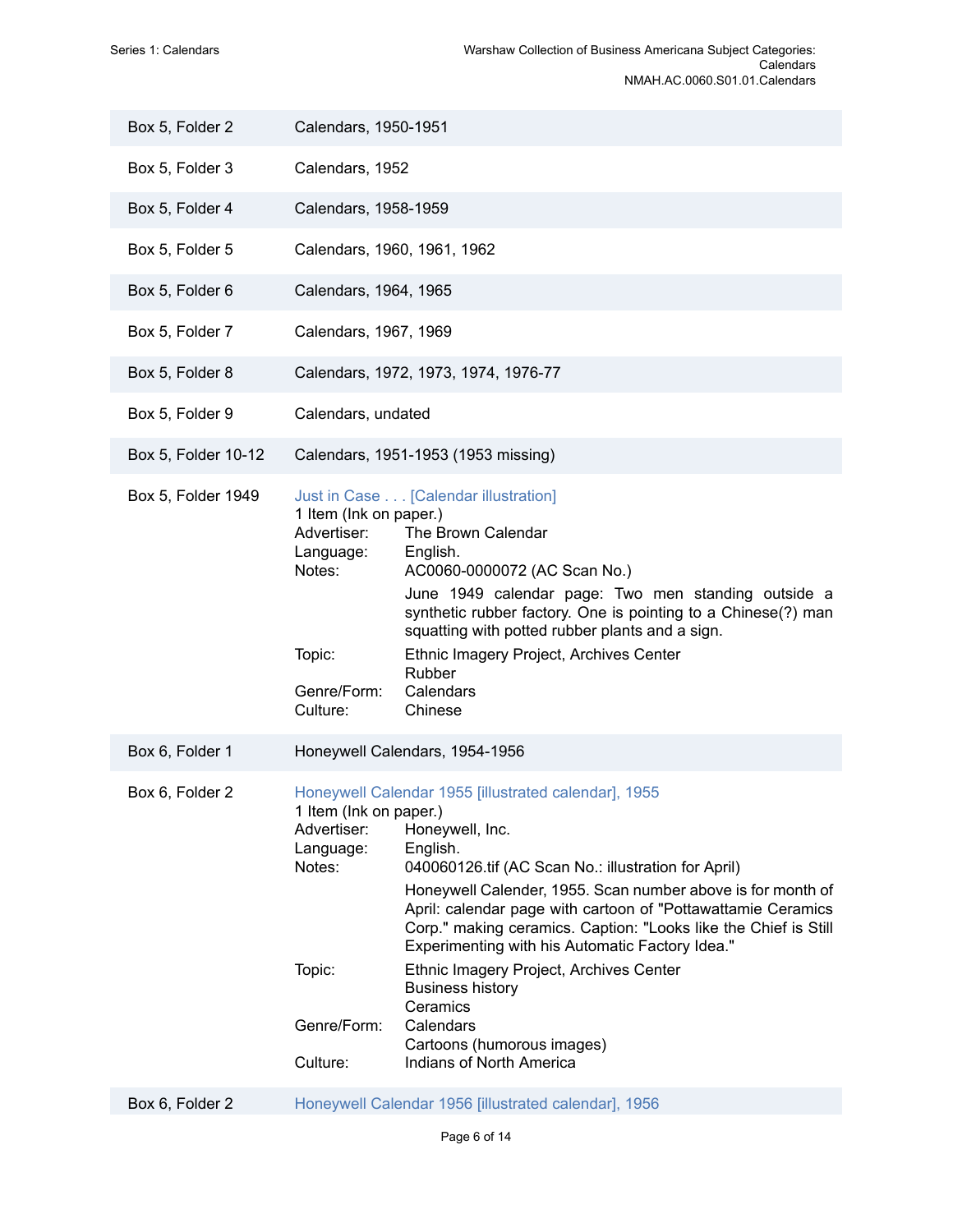| Box 5, Folder 2     | Calendars, 1950-1951                                                                              |                                                                                                                                                                                                                                                                                                                                                                                                                                                                                                                                                           |
|---------------------|---------------------------------------------------------------------------------------------------|-----------------------------------------------------------------------------------------------------------------------------------------------------------------------------------------------------------------------------------------------------------------------------------------------------------------------------------------------------------------------------------------------------------------------------------------------------------------------------------------------------------------------------------------------------------|
| Box 5, Folder 3     | Calendars, 1952                                                                                   |                                                                                                                                                                                                                                                                                                                                                                                                                                                                                                                                                           |
| Box 5, Folder 4     | Calendars, 1958-1959                                                                              |                                                                                                                                                                                                                                                                                                                                                                                                                                                                                                                                                           |
| Box 5, Folder 5     |                                                                                                   | Calendars, 1960, 1961, 1962                                                                                                                                                                                                                                                                                                                                                                                                                                                                                                                               |
| Box 5, Folder 6     | Calendars, 1964, 1965                                                                             |                                                                                                                                                                                                                                                                                                                                                                                                                                                                                                                                                           |
| Box 5, Folder 7     | Calendars, 1967, 1969                                                                             |                                                                                                                                                                                                                                                                                                                                                                                                                                                                                                                                                           |
| Box 5, Folder 8     |                                                                                                   | Calendars, 1972, 1973, 1974, 1976-77                                                                                                                                                                                                                                                                                                                                                                                                                                                                                                                      |
| Box 5, Folder 9     | Calendars, undated                                                                                |                                                                                                                                                                                                                                                                                                                                                                                                                                                                                                                                                           |
| Box 5, Folder 10-12 |                                                                                                   | Calendars, 1951-1953 (1953 missing)                                                                                                                                                                                                                                                                                                                                                                                                                                                                                                                       |
| Box 5, Folder 1949  | 1 Item (Ink on paper.)<br>Advertiser:<br>Language:<br>Notes:<br>Topic:<br>Genre/Form:<br>Culture: | Just in Case [Calendar illustration]<br>The Brown Calendar<br>English.<br>AC0060-0000072 (AC Scan No.)<br>June 1949 calendar page: Two men standing outside a<br>synthetic rubber factory. One is pointing to a Chinese(?) man<br>squatting with potted rubber plants and a sign.<br>Ethnic Imagery Project, Archives Center<br>Rubber<br>Calendars<br>Chinese                                                                                                                                                                                            |
| Box 6, Folder 1     |                                                                                                   | Honeywell Calendars, 1954-1956                                                                                                                                                                                                                                                                                                                                                                                                                                                                                                                            |
| Box 6, Folder 2     | 1 Item (Ink on paper.)<br>Advertiser:<br>Language:<br>Notes:<br>Topic:<br>Genre/Form:<br>Culture: | Honeywell Calendar 1955 [illustrated calendar], 1955<br>Honeywell, Inc.<br>English.<br>040060126.tif (AC Scan No.: illustration for April)<br>Honeywell Calender, 1955. Scan number above is for month of<br>April: calendar page with cartoon of "Pottawattamie Ceramics"<br>Corp." making ceramics. Caption: "Looks like the Chief is Still<br>Experimenting with his Automatic Factory Idea."<br>Ethnic Imagery Project, Archives Center<br><b>Business history</b><br>Ceramics<br>Calendars<br>Cartoons (humorous images)<br>Indians of North America |
| Box 6, Folder 2     |                                                                                                   | Honeywell Calendar 1956 [illustrated calendar], 1956                                                                                                                                                                                                                                                                                                                                                                                                                                                                                                      |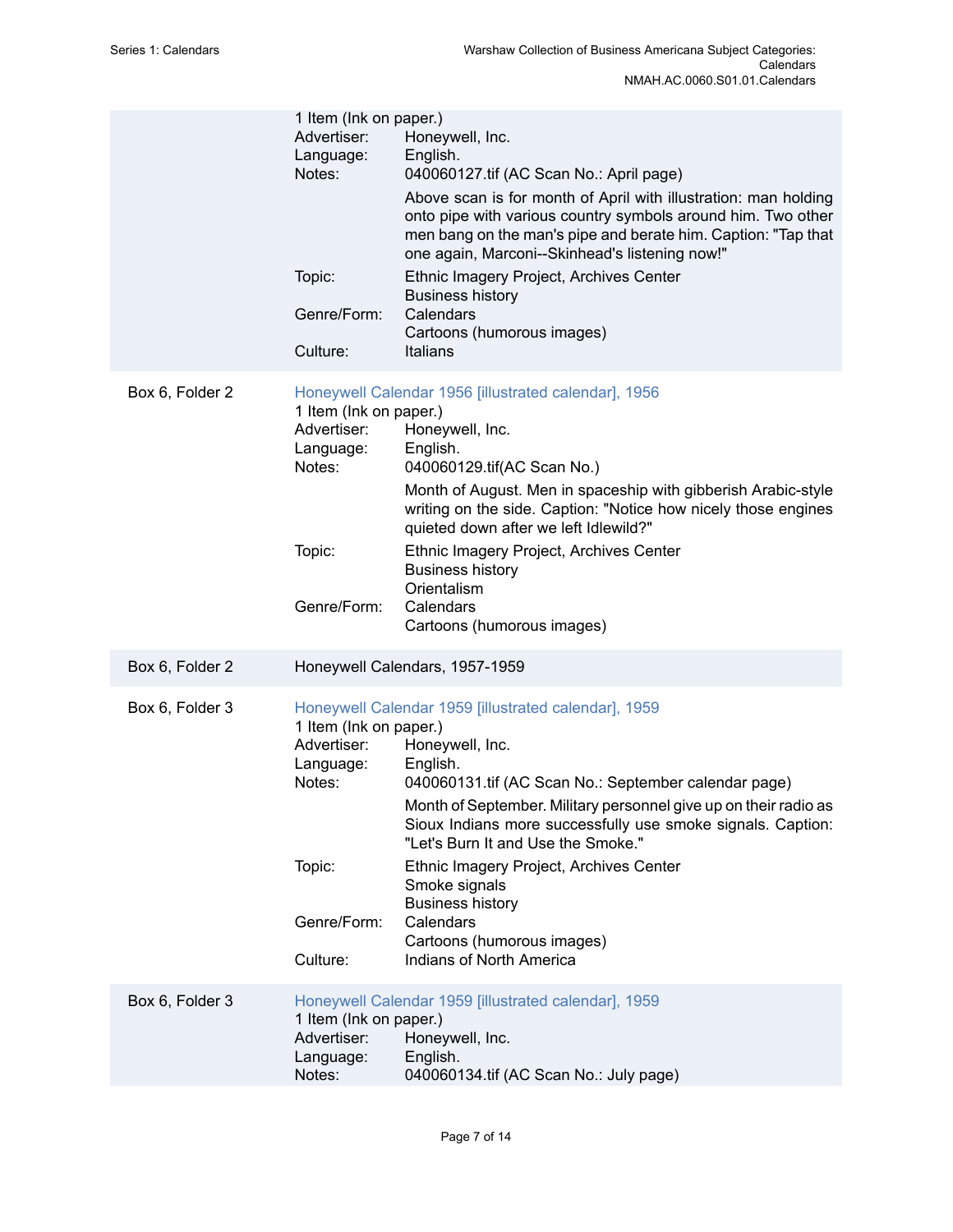|                 | 1 Item (Ink on paper.)<br>Advertiser:<br>Language:<br>Notes:<br>Topic:<br>Genre/Form:<br>Culture: | Honeywell, Inc.<br>English.<br>040060127.tif (AC Scan No.: April page)<br>Above scan is for month of April with illustration: man holding<br>onto pipe with various country symbols around him. Two other<br>men bang on the man's pipe and berate him. Caption: "Tap that<br>one again, Marconi--Skinhead's listening now!"<br>Ethnic Imagery Project, Archives Center<br><b>Business history</b><br>Calendars<br>Cartoons (humorous images)<br>Italians                          |
|-----------------|---------------------------------------------------------------------------------------------------|------------------------------------------------------------------------------------------------------------------------------------------------------------------------------------------------------------------------------------------------------------------------------------------------------------------------------------------------------------------------------------------------------------------------------------------------------------------------------------|
| Box 6, Folder 2 | 1 Item (Ink on paper.)<br>Advertiser:<br>Language:<br>Notes:<br>Topic:<br>Genre/Form:             | Honeywell Calendar 1956 [illustrated calendar], 1956<br>Honeywell, Inc.<br>English.<br>040060129.tif(AC Scan No.)<br>Month of August. Men in spaceship with gibberish Arabic-style<br>writing on the side. Caption: "Notice how nicely those engines<br>quieted down after we left Idlewild?"<br>Ethnic Imagery Project, Archives Center<br><b>Business history</b><br>Orientalism<br>Calendars<br>Cartoons (humorous images)                                                      |
| Box 6, Folder 2 |                                                                                                   | Honeywell Calendars, 1957-1959                                                                                                                                                                                                                                                                                                                                                                                                                                                     |
| Box 6, Folder 3 | 1 Item (Ink on paper.)<br>Advertiser:<br>Language:<br>Notes:<br>Topic:<br>Genre/Form:<br>Culture: | Honeywell Calendar 1959 [illustrated calendar], 1959<br>Honeywell, Inc.<br>English.<br>040060131.tif (AC Scan No.: September calendar page)<br>Month of September. Military personnel give up on their radio as<br>Sioux Indians more successfully use smoke signals. Caption:<br>"Let's Burn It and Use the Smoke."<br>Ethnic Imagery Project, Archives Center<br>Smoke signals<br><b>Business history</b><br>Calendars<br>Cartoons (humorous images)<br>Indians of North America |
| Box 6, Folder 3 | 1 Item (Ink on paper.)<br>Advertiser:<br>Language:<br>Notes:                                      | Honeywell Calendar 1959 [illustrated calendar], 1959<br>Honeywell, Inc.<br>English.<br>040060134.tif (AC Scan No.: July page)                                                                                                                                                                                                                                                                                                                                                      |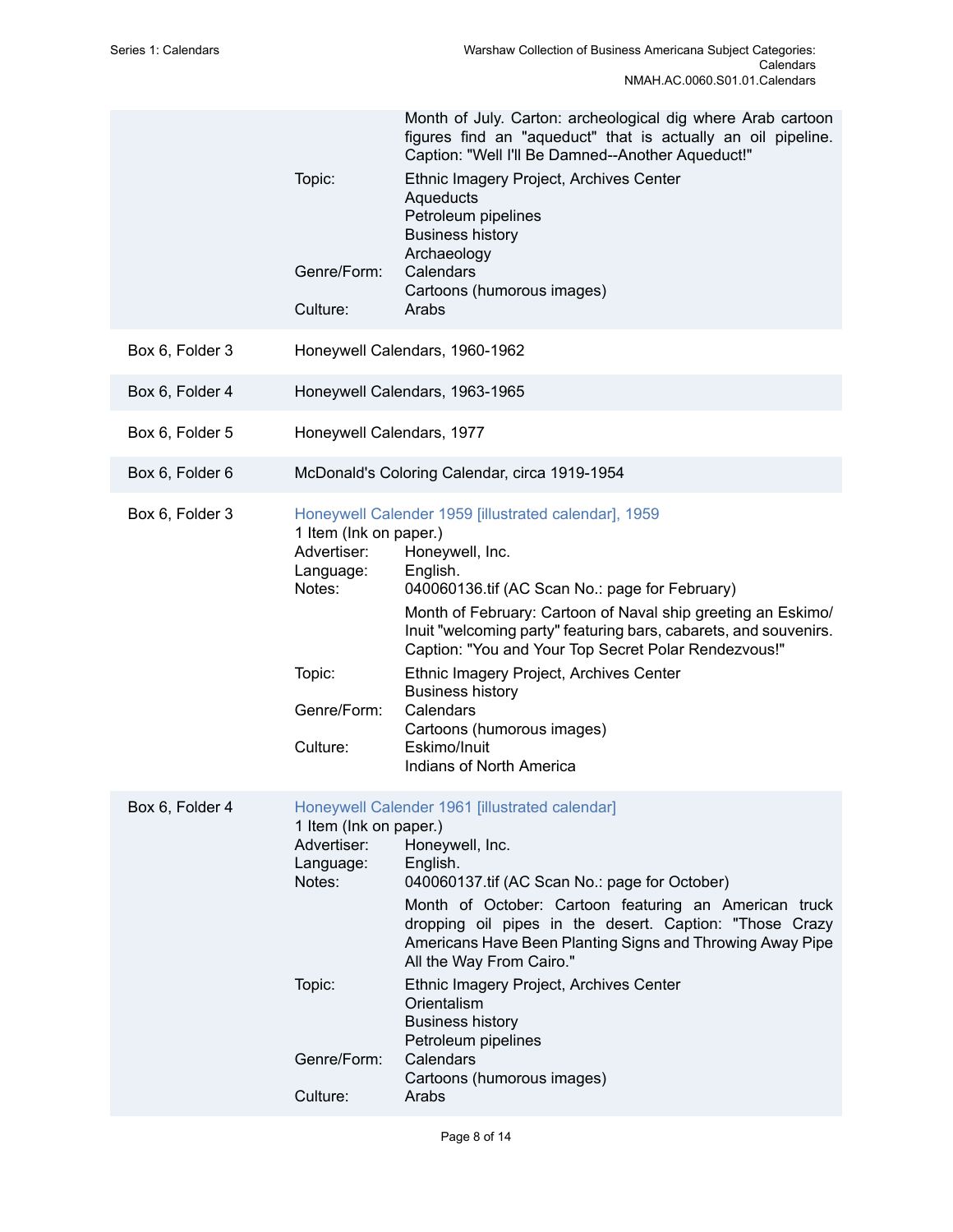| Topic:<br>Genre/Form:<br>Culture:                                                                 | Month of July. Carton: archeological dig where Arab cartoon<br>figures find an "aqueduct" that is actually an oil pipeline.<br>Caption: "Well I'll Be Damned--Another Aqueduct!"<br>Ethnic Imagery Project, Archives Center<br>Aqueducts<br>Petroleum pipelines<br><b>Business history</b><br>Archaeology<br>Calendars<br>Cartoons (humorous images)<br>Arabs                                                                                                                                               |
|---------------------------------------------------------------------------------------------------|-------------------------------------------------------------------------------------------------------------------------------------------------------------------------------------------------------------------------------------------------------------------------------------------------------------------------------------------------------------------------------------------------------------------------------------------------------------------------------------------------------------|
|                                                                                                   | Honeywell Calendars, 1960-1962                                                                                                                                                                                                                                                                                                                                                                                                                                                                              |
|                                                                                                   | Honeywell Calendars, 1963-1965                                                                                                                                                                                                                                                                                                                                                                                                                                                                              |
| Honeywell Calendars, 1977                                                                         |                                                                                                                                                                                                                                                                                                                                                                                                                                                                                                             |
|                                                                                                   | McDonald's Coloring Calendar, circa 1919-1954                                                                                                                                                                                                                                                                                                                                                                                                                                                               |
| 1 Item (Ink on paper.)<br>Advertiser:<br>Language:<br>Notes:<br>Topic:<br>Genre/Form:<br>Culture: | Honeywell Calender 1959 [illustrated calendar], 1959<br>Honeywell, Inc.<br>English.<br>040060136.tif (AC Scan No.: page for February)<br>Month of February: Cartoon of Naval ship greeting an Eskimo/<br>Inuit "welcoming party" featuring bars, cabarets, and souvenirs.<br>Caption: "You and Your Top Secret Polar Rendezvous!"<br>Ethnic Imagery Project, Archives Center<br><b>Business history</b><br>Calendars<br>Cartoons (humorous images)<br>Eskimo/Inuit<br>Indians of North America              |
| 1 Item (Ink on paper.)<br>Advertiser:<br>Language:<br>Notes:<br>Topic:<br>Genre/Form:<br>Culture: | Honeywell Calender 1961 [illustrated calendar]<br>Honeywell, Inc.<br>English.<br>040060137.tif (AC Scan No.: page for October)<br>Month of October: Cartoon featuring an American truck<br>dropping oil pipes in the desert. Caption: "Those Crazy<br>Americans Have Been Planting Signs and Throwing Away Pipe<br>All the Way From Cairo."<br>Ethnic Imagery Project, Archives Center<br>Orientalism<br><b>Business history</b><br>Petroleum pipelines<br>Calendars<br>Cartoons (humorous images)<br>Arabs |
|                                                                                                   |                                                                                                                                                                                                                                                                                                                                                                                                                                                                                                             |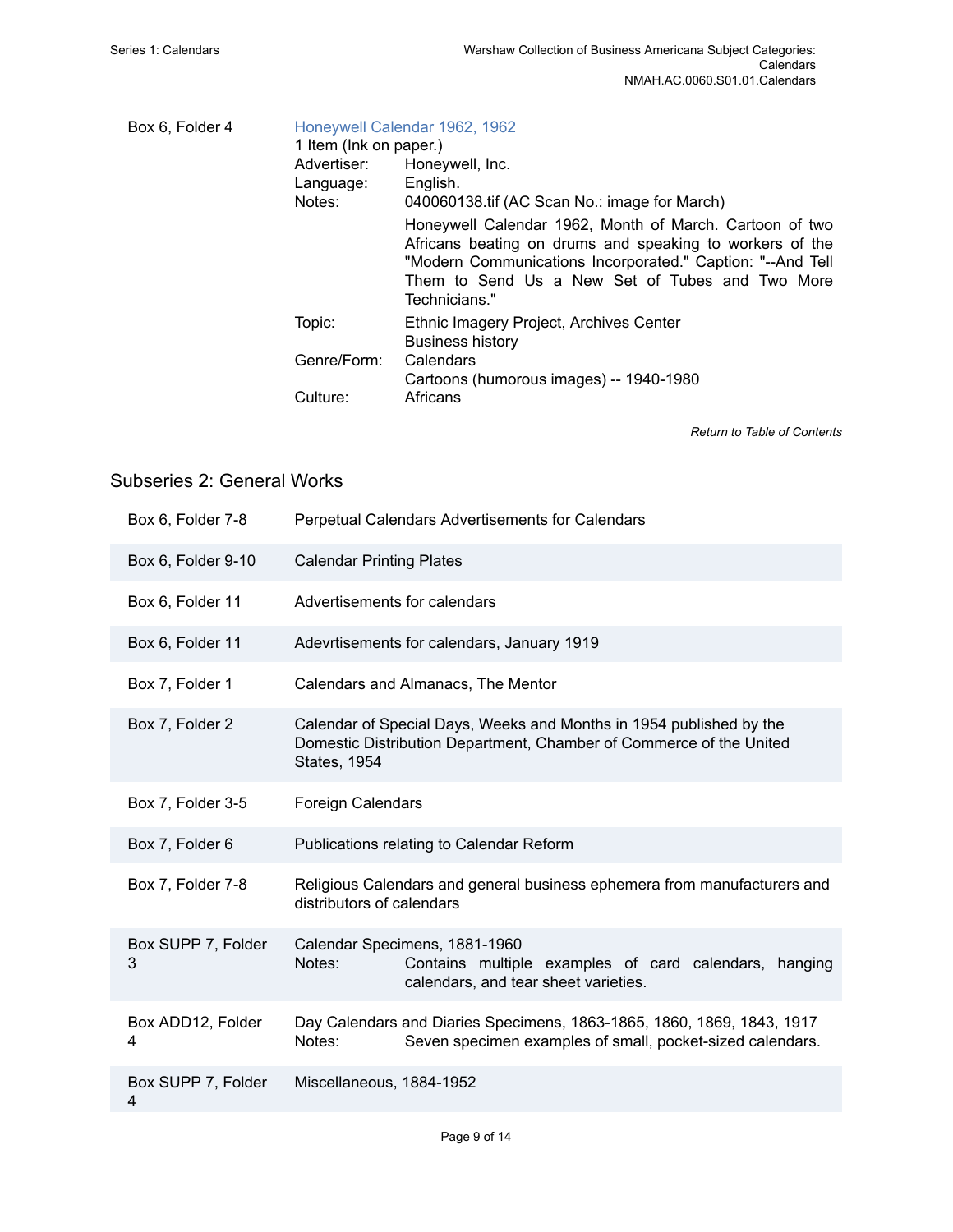| Box 6, Folder 4 | Honeywell Calendar 1962, 1962<br>1 Item (Ink on paper.) |                                                                                                                                                                                                                                                       |  |
|-----------------|---------------------------------------------------------|-------------------------------------------------------------------------------------------------------------------------------------------------------------------------------------------------------------------------------------------------------|--|
|                 | Advertiser:<br>Language:<br>Notes:                      | Honeywell, Inc.<br>English.<br>040060138.tif (AC Scan No.: image for March)                                                                                                                                                                           |  |
|                 |                                                         | Honeywell Calendar 1962, Month of March. Cartoon of two<br>Africans beating on drums and speaking to workers of the<br>"Modern Communications Incorporated." Caption: "--And Tell<br>Them to Send Us a New Set of Tubes and Two More<br>Technicians." |  |
|                 | Topic:                                                  | Ethnic Imagery Project, Archives Center<br><b>Business history</b>                                                                                                                                                                                    |  |
|                 | Genre/Form:                                             | Calendars<br>Cartoons (humorous images) -- 1940-1980                                                                                                                                                                                                  |  |
|                 | Culture:                                                | Africans                                                                                                                                                                                                                                              |  |

*Return to Table of [Contents](#page-1-0)*

## <span id="page-10-0"></span>Subseries 2: General Works

| Box 6, Folder 7-8       | Perpetual Calendars Advertisements for Calendars                                                                                                                  |
|-------------------------|-------------------------------------------------------------------------------------------------------------------------------------------------------------------|
| Box 6, Folder 9-10      | <b>Calendar Printing Plates</b>                                                                                                                                   |
| Box 6, Folder 11        | Advertisements for calendars                                                                                                                                      |
| Box 6, Folder 11        | Adevrtisements for calendars, January 1919                                                                                                                        |
| Box 7, Folder 1         | Calendars and Almanacs, The Mentor                                                                                                                                |
| Box 7, Folder 2         | Calendar of Special Days, Weeks and Months in 1954 published by the<br>Domestic Distribution Department, Chamber of Commerce of the United<br><b>States, 1954</b> |
| Box 7, Folder 3-5       | <b>Foreign Calendars</b>                                                                                                                                          |
| Box 7, Folder 6         | Publications relating to Calendar Reform                                                                                                                          |
| Box 7, Folder 7-8       | Religious Calendars and general business ephemera from manufacturers and<br>distributors of calendars                                                             |
| Box SUPP 7, Folder<br>3 | Calendar Specimens, 1881-1960<br>Notes:<br>Contains multiple examples of card calendars, hanging<br>calendars, and tear sheet varieties.                          |
| Box ADD12, Folder<br>4  | Day Calendars and Diaries Specimens, 1863-1865, 1860, 1869, 1843, 1917<br>Notes:<br>Seven specimen examples of small, pocket-sized calendars.                     |
| Box SUPP 7, Folder<br>4 | Miscellaneous, 1884-1952                                                                                                                                          |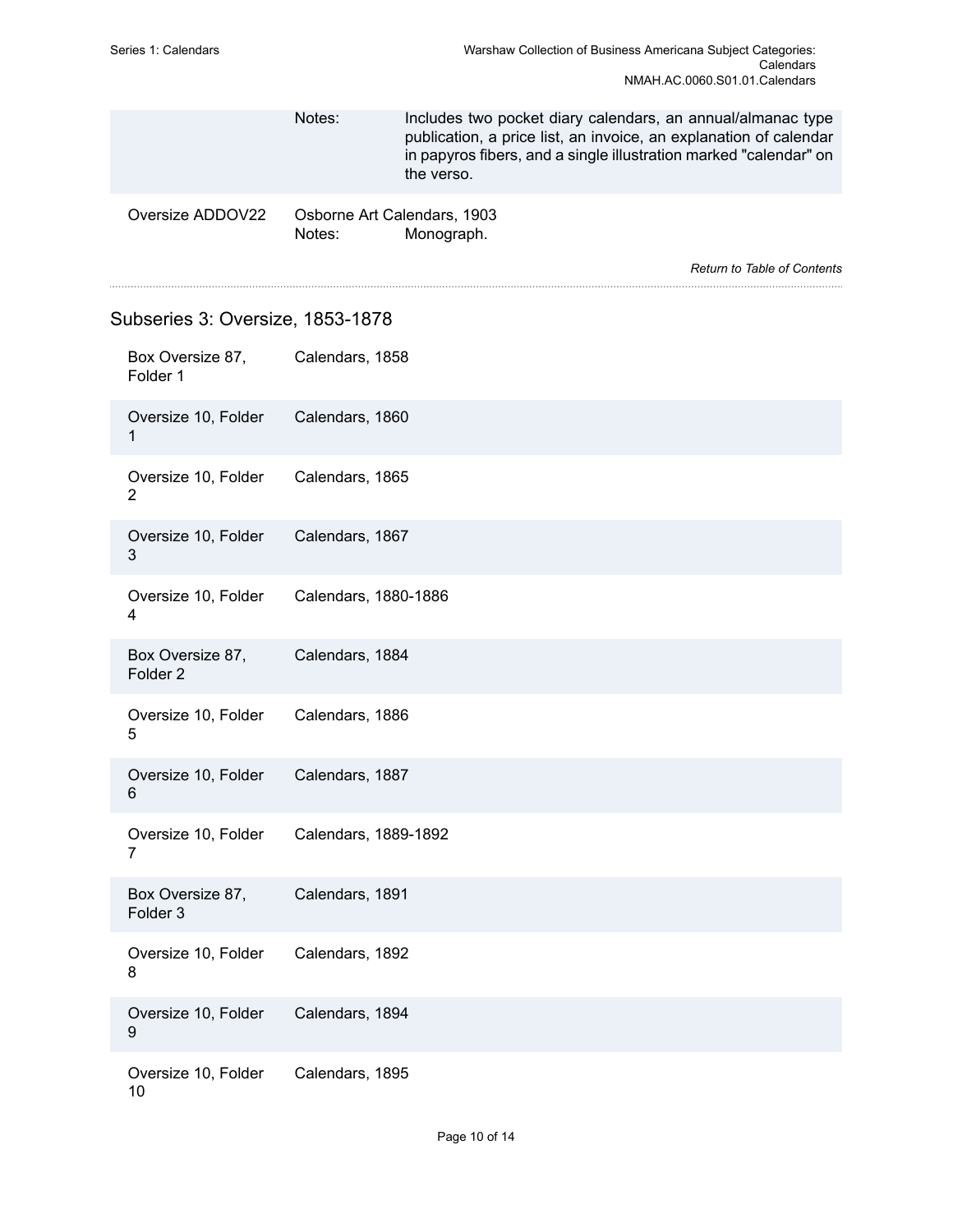<span id="page-11-0"></span>

|  |                                         | Notes:                                | Includes two pocket diary calendars, an annual/almanac type<br>publication, a price list, an invoice, an explanation of calendar<br>in papyros fibers, and a single illustration marked "calendar" on<br>the verso. |                                    |
|--|-----------------------------------------|---------------------------------------|---------------------------------------------------------------------------------------------------------------------------------------------------------------------------------------------------------------------|------------------------------------|
|  | Oversize ADDOV22                        | Osborne Art Calendars, 1903<br>Notes: | Monograph.                                                                                                                                                                                                          | <b>Return to Table of Contents</b> |
|  |                                         |                                       |                                                                                                                                                                                                                     |                                    |
|  | Subseries 3: Oversize, 1853-1878        |                                       |                                                                                                                                                                                                                     |                                    |
|  | Box Oversize 87,<br>Folder 1            | Calendars, 1858                       |                                                                                                                                                                                                                     |                                    |
|  | Oversize 10, Folder<br>1                | Calendars, 1860                       |                                                                                                                                                                                                                     |                                    |
|  | Oversize 10, Folder<br>$\overline{2}$   | Calendars, 1865                       |                                                                                                                                                                                                                     |                                    |
|  | Oversize 10, Folder<br>3                | Calendars, 1867                       |                                                                                                                                                                                                                     |                                    |
|  | Oversize 10, Folder<br>4                | Calendars, 1880-1886                  |                                                                                                                                                                                                                     |                                    |
|  | Box Oversize 87,<br>Folder <sub>2</sub> | Calendars, 1884                       |                                                                                                                                                                                                                     |                                    |
|  | Oversize 10, Folder<br>5                | Calendars, 1886                       |                                                                                                                                                                                                                     |                                    |
|  | Oversize 10, Folder<br>6                | Calendars, 1887                       |                                                                                                                                                                                                                     |                                    |
|  | Oversize 10, Folder<br>7                | Calendars, 1889-1892                  |                                                                                                                                                                                                                     |                                    |
|  | Box Oversize 87,<br>Folder <sub>3</sub> | Calendars, 1891                       |                                                                                                                                                                                                                     |                                    |
|  | Oversize 10, Folder<br>8                | Calendars, 1892                       |                                                                                                                                                                                                                     |                                    |
|  | Oversize 10, Folder<br>9                | Calendars, 1894                       |                                                                                                                                                                                                                     |                                    |
|  | Oversize 10, Folder<br>10               | Calendars, 1895                       |                                                                                                                                                                                                                     |                                    |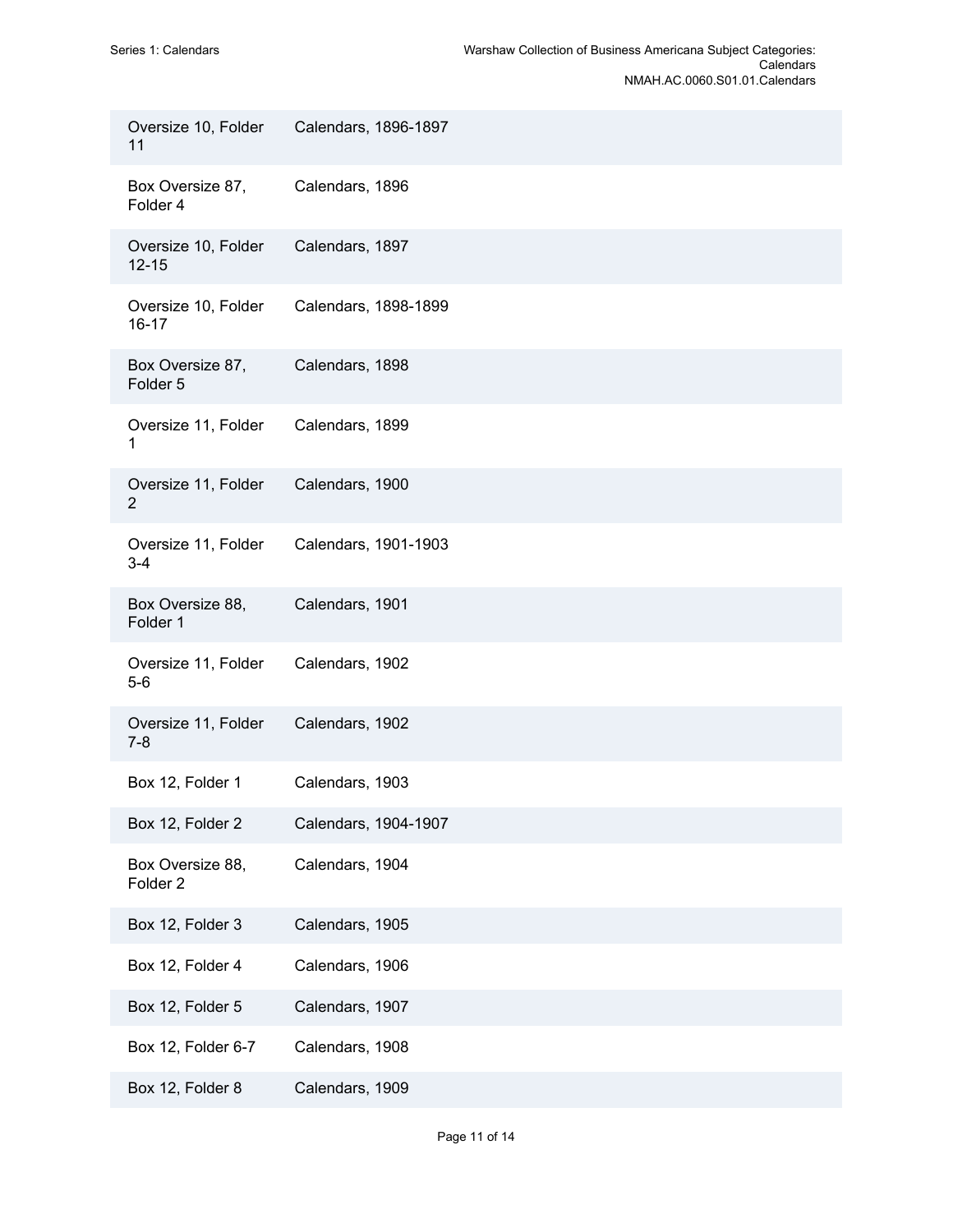| Oversize 10, Folder<br>11               | Calendars, 1896-1897 |
|-----------------------------------------|----------------------|
| Box Oversize 87,<br>Folder 4            | Calendars, 1896      |
| Oversize 10, Folder<br>$12 - 15$        | Calendars, 1897      |
| Oversize 10, Folder<br>$16 - 17$        | Calendars, 1898-1899 |
| Box Oversize 87,<br>Folder 5            | Calendars, 1898      |
| Oversize 11, Folder<br>1                | Calendars, 1899      |
| Oversize 11, Folder<br>$\overline{2}$   | Calendars, 1900      |
| Oversize 11, Folder<br>$3 - 4$          | Calendars, 1901-1903 |
| Box Oversize 88,<br>Folder 1            | Calendars, 1901      |
| Oversize 11, Folder<br>$5-6$            | Calendars, 1902      |
| Oversize 11, Folder<br>$7-8$            | Calendars, 1902      |
| Box 12, Folder 1                        | Calendars, 1903      |
| Box 12, Folder 2                        | Calendars, 1904-1907 |
| Box Oversize 88,<br>Folder <sub>2</sub> | Calendars, 1904      |
| Box 12, Folder 3                        | Calendars, 1905      |
| Box 12, Folder 4                        | Calendars, 1906      |
| Box 12, Folder 5                        | Calendars, 1907      |
| Box 12, Folder 6-7                      | Calendars, 1908      |
| Box 12, Folder 8                        | Calendars, 1909      |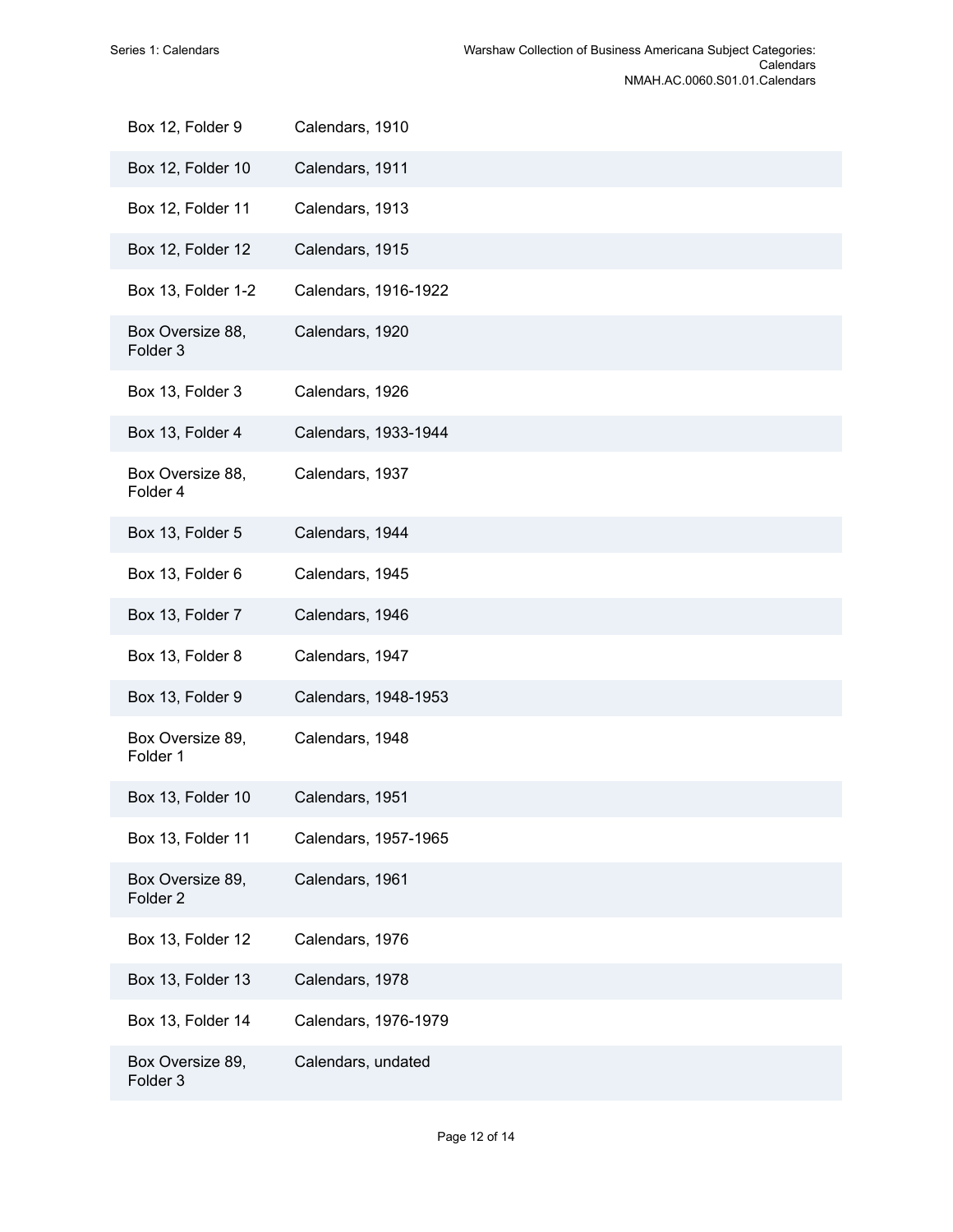| Box 12, Folder 9                        | Calendars, 1910      |
|-----------------------------------------|----------------------|
| Box 12, Folder 10                       | Calendars, 1911      |
| Box 12, Folder 11                       | Calendars, 1913      |
| Box 12, Folder 12                       | Calendars, 1915      |
| Box 13, Folder 1-2                      | Calendars, 1916-1922 |
| Box Oversize 88,<br>Folder <sub>3</sub> | Calendars, 1920      |
| Box 13, Folder 3                        | Calendars, 1926      |
| Box 13, Folder 4                        | Calendars, 1933-1944 |
| Box Oversize 88,<br>Folder 4            | Calendars, 1937      |
| Box 13, Folder 5                        | Calendars, 1944      |
| Box 13, Folder 6                        | Calendars, 1945      |
| Box 13, Folder 7                        | Calendars, 1946      |
| Box 13, Folder 8                        | Calendars, 1947      |
| Box 13, Folder 9                        | Calendars, 1948-1953 |
| Box Oversize 89,<br>Folder 1            | Calendars, 1948      |
| Box 13, Folder 10                       | Calendars, 1951      |
| Box 13, Folder 11                       | Calendars, 1957-1965 |
| Box Oversize 89,<br>Folder <sub>2</sub> | Calendars, 1961      |
| Box 13, Folder 12                       | Calendars, 1976      |
| Box 13, Folder 13                       | Calendars, 1978      |
| Box 13, Folder 14                       | Calendars, 1976-1979 |
| Box Oversize 89,<br>Folder 3            | Calendars, undated   |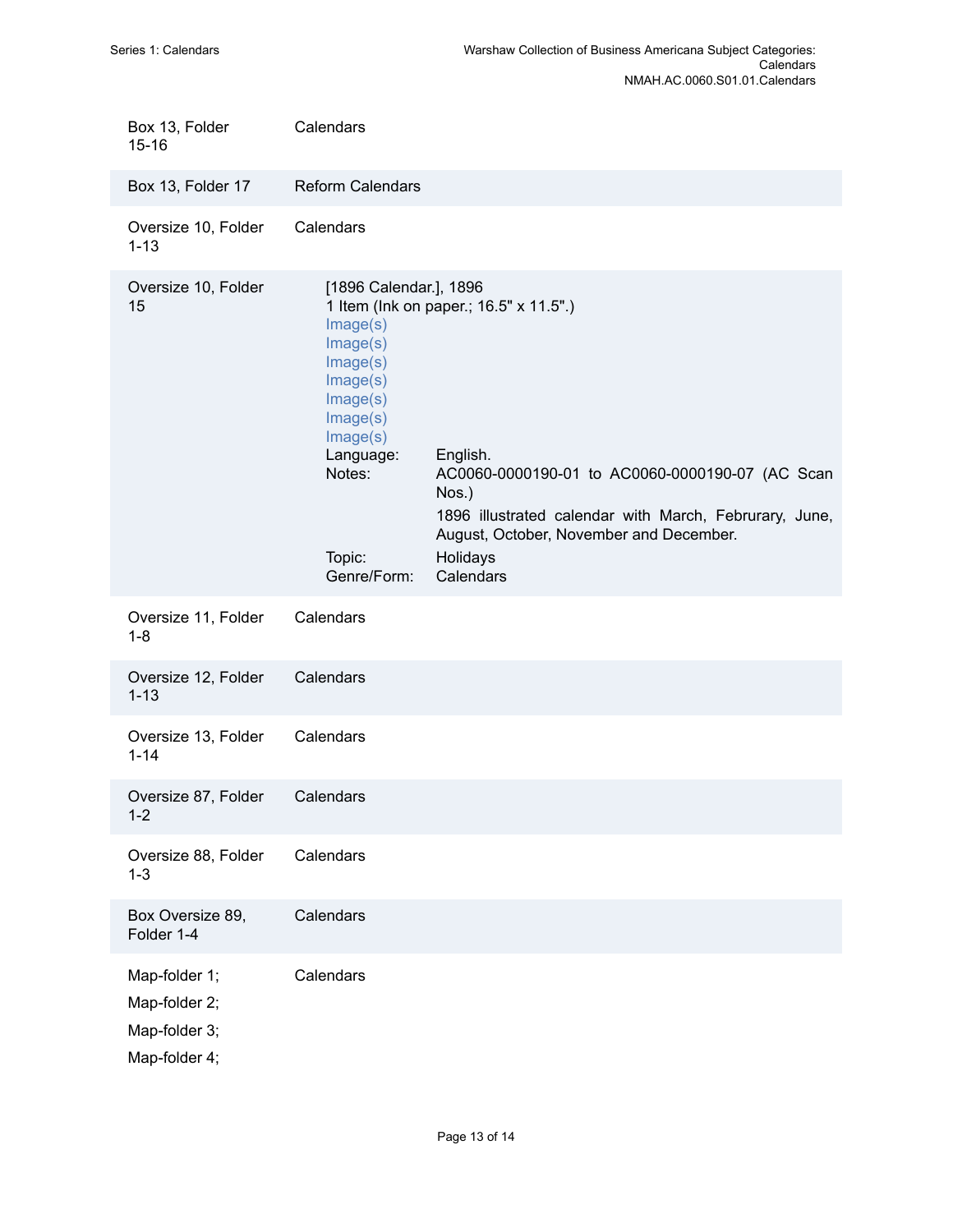| Box 13, Folder<br>$15 - 16$                                      | Calendars                                                                                                                                                  |                                                                                                                                                                                                                                              |
|------------------------------------------------------------------|------------------------------------------------------------------------------------------------------------------------------------------------------------|----------------------------------------------------------------------------------------------------------------------------------------------------------------------------------------------------------------------------------------------|
| Box 13, Folder 17                                                | <b>Reform Calendars</b>                                                                                                                                    |                                                                                                                                                                                                                                              |
| Oversize 10, Folder<br>$1 - 13$                                  | Calendars                                                                                                                                                  |                                                                                                                                                                                                                                              |
| Oversize 10, Folder<br>15                                        | [1896 Calendar.], 1896<br>Image(s)<br>Image(s)<br>Image(s)<br>Image(s)<br>Image(s)<br>Image(s)<br>Image(s)<br>Language:<br>Notes:<br>Topic:<br>Genre/Form: | 1 Item (Ink on paper.; 16.5" x 11.5".)<br>English.<br>AC0060-0000190-01 to AC0060-0000190-07 (AC Scan<br>Nos.)<br>1896 illustrated calendar with March, Februrary, June,<br>August, October, November and December.<br>Holidays<br>Calendars |
| Oversize 11, Folder<br>$1 - 8$                                   | Calendars                                                                                                                                                  |                                                                                                                                                                                                                                              |
| Oversize 12, Folder<br>$1 - 13$                                  | Calendars                                                                                                                                                  |                                                                                                                                                                                                                                              |
| Oversize 13, Folder<br>$1 - 14$                                  | Calendars                                                                                                                                                  |                                                                                                                                                                                                                                              |
| Oversize 87, Folder<br>$1 - 2$                                   | Calendars                                                                                                                                                  |                                                                                                                                                                                                                                              |
| Oversize 88, Folder<br>$1 - 3$                                   | Calendars                                                                                                                                                  |                                                                                                                                                                                                                                              |
| Box Oversize 89,<br>Folder 1-4                                   | Calendars                                                                                                                                                  |                                                                                                                                                                                                                                              |
| Map-folder 1;<br>Map-folder 2;<br>Map-folder 3;<br>Map-folder 4; | Calendars                                                                                                                                                  |                                                                                                                                                                                                                                              |